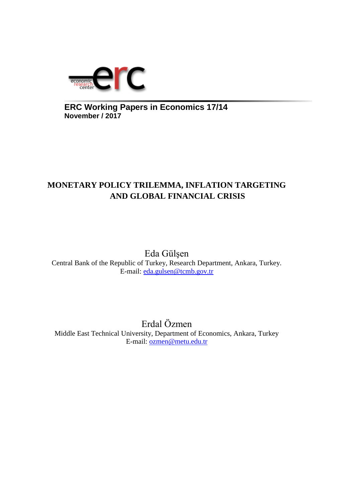

**ERC Working Papers in Economics 17/14 November / 2017**

# **MONETARY POLICY TRILEMMA, INFLATION TARGETING AND GLOBAL FINANCIAL CRISIS**

Eda Gülşen Central Bank of the Republic of Turkey, Research Department, Ankara, Turkey. E-mail: [eda.gulsen@tcmb.gov.tr](mailto:eda.gulsen@tcmb.gov.tr)

Erdal Özmen Middle East Technical University, Department of Economics, Ankara, Turkey E-mail: [ozmen@metu.edu.tr](mailto:ozmen@metu.edu.tr)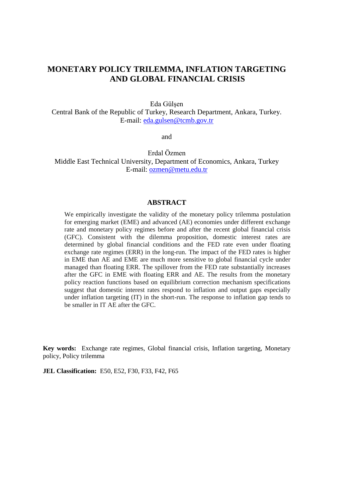### **MONETARY POLICY TRILEMMA, INFLATION TARGETING AND GLOBAL FINANCIAL CRISIS**

Eda Gülşen

Central Bank of the Republic of Turkey, Research Department, Ankara, Turkey. E-mail: [eda.gulsen@tcmb.gov.tr](mailto:eda.gulsen@tcmb.gov.tr)

and

Erdal Özmen Middle East Technical University, Department of Economics, Ankara, Turkey E-mail: [ozmen@metu.edu.tr](mailto:ozmen@metu.edu.tr)

#### **ABSTRACT**

We empirically investigate the validity of the monetary policy trilemma postulation for emerging market (EME) and advanced (AE) economies under different exchange rate and monetary policy regimes before and after the recent global financial crisis (GFC). Consistent with the dilemma proposition, domestic interest rates are determined by global financial conditions and the FED rate even under floating exchange rate regimes (ERR) in the long-run. The impact of the FED rates is higher in EME than AE and EME are much more sensitive to global financial cycle under managed than floating ERR. The spillover from the FED rate substantially increases after the GFC in EME with floating ERR and AE. The results from the monetary policy reaction functions based on equilibrium correction mechanism specifications suggest that domestic interest rates respond to inflation and output gaps especially under inflation targeting (IT) in the short-run. The response to inflation gap tends to be smaller in IT AE after the GFC.

**Key words:** Exchange rate regimes, Global financial crisis, Inflation targeting, Monetary policy, Policy trilemma

**JEL Classification:** E50, E52, F30, F33, F42, F65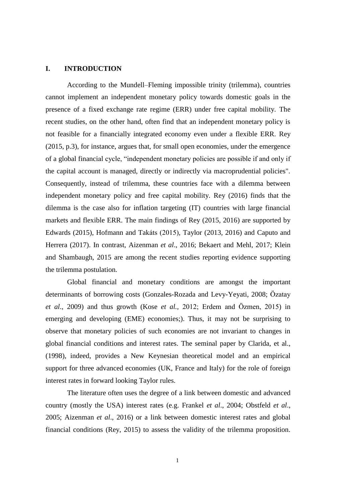#### **I. INTRODUCTION**

According to the Mundell–Fleming impossible trinity (trilemma), countries cannot implement an independent monetary policy towards domestic goals in the presence of a fixed exchange rate regime (ERR) under free capital mobility. The recent studies, on the other hand, often find that an independent monetary policy is not feasible for a financially integrated economy even under a flexible ERR. Rey (2015, p.3), for instance, argues that, for small open economies, under the emergence of a global financial cycle, "independent monetary policies are possible if and only if the capital account is managed, directly or indirectly via macroprudential policies". Consequently, instead of trilemma, these countries face with a dilemma between independent monetary policy and free capital mobility. Rey (2016) finds that the dilemma is the case also for inflation targeting (IT) countries with large financial markets and flexible ERR. The main findings of Rey (2015, 2016) are supported by Edwards (2015), Hofmann and Takáts (2015), Taylor (2013, 2016) and Caputo and Herrera (2017). In contrast, Aizenman *et al*., 2016; Bekaert and Mehl, 2017; Klein and Shambaugh, 2015 are among the recent studies reporting evidence supporting the trilemma postulation.

Global financial and monetary conditions are amongst the important determinants of borrowing costs (Gonzales-Rozada and Levy-Yeyati, 2008; Özatay *et al*., 2009) and thus growth (Kose *et al.,* 2012; Erdem and Özmen, 2015) in emerging and developing (EME) economies;). Thus, it may not be surprising to observe that monetary policies of such economies are not invariant to changes in global financial conditions and interest rates. The seminal paper by Clarida, et al., (1998), indeed, provides a New Keynesian theoretical model and an empirical support for three advanced economies (UK, France and Italy) for the role of foreign interest rates in forward looking Taylor rules.

The literature often uses the degree of a link between domestic and advanced country (mostly the USA) interest rates (e.g. Frankel *et al*., 2004; Obstfeld *et al*., 2005; Aizenman *et al*., 2016) or a link between domestic interest rates and global financial conditions (Rey, 2015) to assess the validity of the trilemma proposition.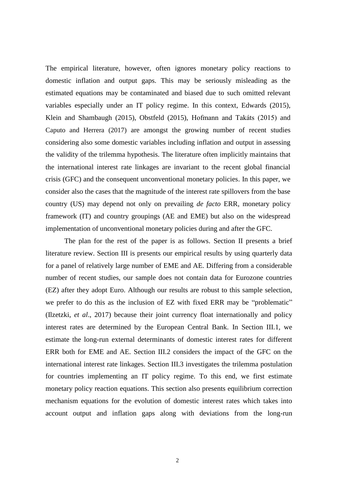The empirical literature, however, often ignores monetary policy reactions to domestic inflation and output gaps. This may be seriously misleading as the estimated equations may be contaminated and biased due to such omitted relevant variables especially under an IT policy regime. In this context, Edwards (2015), Klein and Shambaugh (2015), Obstfeld (2015), Hofmann and Takáts (2015) and Caputo and Herrera (2017) are amongst the growing number of recent studies considering also some domestic variables including inflation and output in assessing the validity of the trilemma hypothesis. The literature often implicitly maintains that the international interest rate linkages are invariant to the recent global financial crisis (GFC) and the consequent unconventional monetary policies. In this paper, we consider also the cases that the magnitude of the interest rate spillovers from the base country (US) may depend not only on prevailing *de facto* ERR, monetary policy framework (IT) and country groupings (AE and EME) but also on the widespread implementation of unconventional monetary policies during and after the GFC.

The plan for the rest of the paper is as follows. Section II presents a brief literature review. Section III is presents our empirical results by using quarterly data for a panel of relatively large number of EME and AE. Differing from a considerable number of recent studies, our sample does not contain data for Eurozone countries (EZ) after they adopt Euro. Although our results are robust to this sample selection, we prefer to do this as the inclusion of EZ with fixed ERR may be "problematic" (Ilzetzki, *et al*., 2017) because their joint currency float internationally and policy interest rates are determined by the European Central Bank. In Section III.1, we estimate the long-run external determinants of domestic interest rates for different ERR both for EME and AE. Section III.2 considers the impact of the GFC on the international interest rate linkages. Section III.3 investigates the trilemma postulation for countries implementing an IT policy regime. To this end, we first estimate monetary policy reaction equations. This section also presents equilibrium correction mechanism equations for the evolution of domestic interest rates which takes into account output and inflation gaps along with deviations from the long-run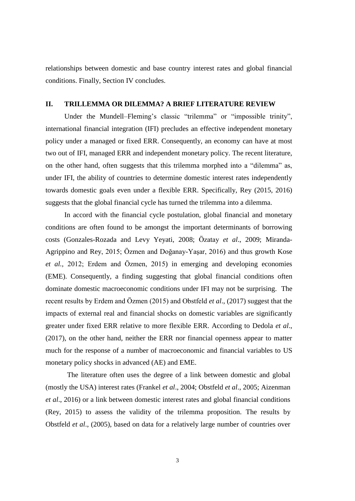relationships between domestic and base country interest rates and global financial conditions. Finally, Section IV concludes.

#### **II. TRILLEMMA OR DILEMMA? A BRIEF LITERATURE REVIEW**

Under the Mundell–Fleming's classic "trilemma" or "impossible trinity", international financial integration (IFI) precludes an effective independent monetary policy under a managed or fixed ERR. Consequently, an economy can have at most two out of IFI, managed ERR and independent monetary policy. The recent literature, on the other hand, often suggests that this trilemma morphed into a "dilemma" as, under IFI, the ability of countries to determine domestic interest rates independently towards domestic goals even under a flexible ERR. Specifically, Rey (2015, 2016) suggests that the global financial cycle has turned the trilemma into a dilemma.

In accord with the financial cycle postulation, global financial and monetary conditions are often found to be amongst the important determinants of borrowing costs (Gonzales-Rozada and Levy Yeyati, 2008; Özatay *et al*., 2009; Miranda-Agrippino and Rey, 2015; Özmen and Doğanay-Yaşar, 2016) and thus growth Kose *et al.,* 2012; Erdem and Özmen, 2015) in emerging and developing economies (EME). Consequently, a finding suggesting that global financial conditions often dominate domestic macroeconomic conditions under IFI may not be surprising. The recent results by Erdem and Özmen (2015) and Obstfeld *et al*., (2017) suggest that the impacts of external real and financial shocks on domestic variables are significantly greater under fixed ERR relative to more flexible ERR. According to Dedola *et al*., (2017), on the other hand, neither the ERR nor financial openness appear to matter much for the response of a number of macroeconomic and financial variables to US monetary policy shocks in advanced (AE) and EME.

The literature often uses the degree of a link between domestic and global (mostly the USA) interest rates (Frankel *et al*., 2004; Obstfeld *et al*., 2005; Aizenman *et al*., 2016) or a link between domestic interest rates and global financial conditions (Rey, 2015) to assess the validity of the trilemma proposition. The results by Obstfeld *et al*., (2005), based on data for a relatively large number of countries over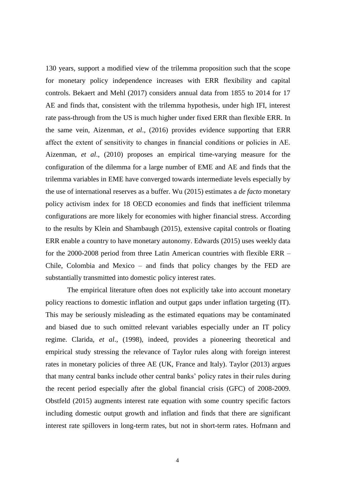130 years, support a modified view of the trilemma proposition such that the scope for monetary policy independence increases with ERR flexibility and capital controls. Bekaert and Mehl (2017) considers annual data from 1855 to 2014 for 17 AE and finds that, consistent with the trilemma hypothesis, under high IFI, interest rate pass-through from the US is much higher under fixed ERR than flexible ERR. In the same vein, Aizenman, *et al*., (2016) provides evidence supporting that ERR affect the extent of sensitivity to changes in financial conditions or policies in AE. Aizenman, *et al*., (2010) proposes an empirical time-varying measure for the configuration of the dilemma for a large number of EME and AE and finds that the trilemma variables in EME have converged towards intermediate levels especially by the use of international reserves as a buffer. Wu (2015) estimates a *de facto* monetary policy activism index for 18 OECD economies and finds that inefficient trilemma configurations are more likely for economies with higher financial stress. According to the results by Klein and Shambaugh (2015), extensive capital controls or floating ERR enable a country to have monetary autonomy. Edwards (2015) uses weekly data for the 2000-2008 period from three Latin American countries with flexible ERR – Chile, Colombia and Mexico – and finds that policy changes by the FED are substantially transmitted into domestic policy interest rates.

The empirical literature often does not explicitly take into account monetary policy reactions to domestic inflation and output gaps under inflation targeting (IT). This may be seriously misleading as the estimated equations may be contaminated and biased due to such omitted relevant variables especially under an IT policy regime. Clarida, *et al*., (1998), indeed, provides a pioneering theoretical and empirical study stressing the relevance of Taylor rules along with foreign interest rates in monetary policies of three AE (UK, France and Italy). Taylor (2013) argues that many central banks include other central banks' policy rates in their rules during the recent period especially after the global financial crisis (GFC) of 2008-2009. Obstfeld (2015) augments interest rate equation with some country specific factors including domestic output growth and inflation and finds that there are significant interest rate spillovers in long-term rates, but not in short-term rates. Hofmann and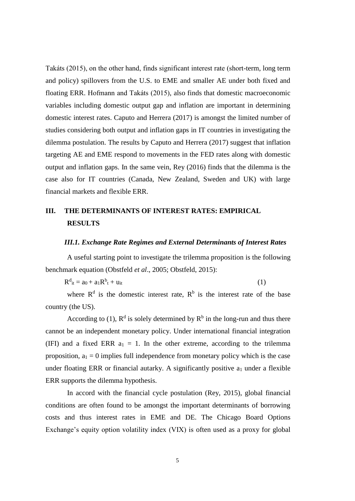Takáts (2015), on the other hand, finds significant interest rate (short-term, long term and policy) spillovers from the U.S. to EME and smaller AE under both fixed and floating ERR. Hofmann and Takáts (2015), also finds that domestic macroeconomic variables including domestic output gap and inflation are important in determining domestic interest rates. Caputo and Herrera (2017) is amongst the limited number of studies considering both output and inflation gaps in IT countries in investigating the dilemma postulation. The results by Caputo and Herrera (2017) suggest that inflation targeting AE and EME respond to movements in the FED rates along with domestic output and inflation gaps. In the same vein, Rey (2016) finds that the dilemma is the case also for IT countries (Canada, New Zealand, Sweden and UK) with large financial markets and flexible ERR.

## **III. THE DETERMINANTS OF INTEREST RATES: EMPIRICAL RESULTS**

#### *III.1. Exchange Rate Regimes and External Determinants of Interest Rates*

A useful starting point to investigate the trilemma proposition is the following benchmark equation (Obstfeld *et al*., 2005; Obstfeld, 2015):

 $R^{d}{}_{it} = a_0 + a_1 R^{b}$  $t + \mathbf{u}_{it}$  (1)

where  $R<sup>d</sup>$  is the domestic interest rate,  $R<sup>b</sup>$  is the interest rate of the base country (the US).

According to (1),  $\mathbb{R}^d$  is solely determined by  $\mathbb{R}^b$  in the long-run and thus there cannot be an independent monetary policy. Under international financial integration (IFI) and a fixed ERR  $a_1 = 1$ . In the other extreme, according to the trilemma proposition,  $a_1 = 0$  implies full independence from monetary policy which is the case under floating ERR or financial autarky. A significantly positive  $a_1$  under a flexible ERR supports the dilemma hypothesis.

In accord with the financial cycle postulation (Rey, 2015), global financial conditions are often found to be amongst the important determinants of borrowing costs and thus interest rates in EME and DE. The Chicago Board Options Exchange's equity option volatility index (VIX) is often used as a proxy for global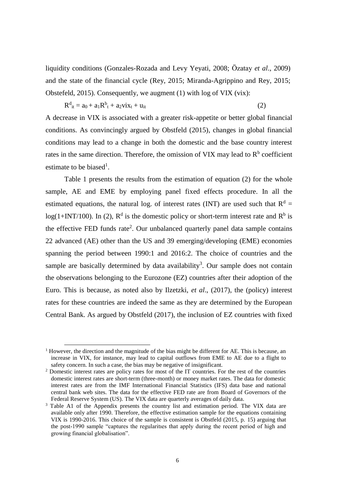liquidity conditions (Gonzales-Rozada and Levy Yeyati, 2008; Özatay *et al*., 2009) and the state of the financial cycle (Rey, 2015; Miranda-Agrippino and Rey, 2015; Obstefeld, 2015). Consequently, we augment (1) with log of VIX (vix):

$$
\mathbf{R}^{\mathbf{d}}_{it} = a_0 + a_1 \mathbf{R}^{\mathbf{b}}_{t} + a_2 \mathbf{v} \mathbf{i} \mathbf{x}_t + \mathbf{u}_{it} \tag{2}
$$

A decrease in VIX is associated with a greater risk-appetite or better global financial conditions. As convincingly argued by Obstfeld (2015), changes in global financial conditions may lead to a change in both the domestic and the base country interest rates in the same direction. Therefore, the omission of VIX may lead to  $R<sup>b</sup>$  coefficient estimate to be biased<sup>1</sup>.

Table 1 presents the results from the estimation of equation (2) for the whole sample, AE and EME by employing panel fixed effects procedure. In all the estimated equations, the natural log. of interest rates (INT) are used such that  $R<sup>d</sup>$  =  $log(1+INT/100)$ . In (2),  $R<sup>d</sup>$  is the domestic policy or short-term interest rate and  $R<sup>b</sup>$  is the effective FED funds rate<sup>2</sup>. Our unbalanced quarterly panel data sample contains 22 advanced (AE) other than the US and 39 emerging/developing (EME) economies spanning the period between 1990:1 and 2016:2. The choice of countries and the sample are basically determined by data availability<sup>3</sup>. Our sample does not contain the observations belonging to the Eurozone (EZ) countries after their adoption of the Euro. This is because, as noted also by Ilzetzki, *et al*., (2017), the (policy) interest rates for these countries are indeed the same as they are determined by the European Central Bank. As argued by Obstfeld (2017), the inclusion of EZ countries with fixed

1

<sup>&</sup>lt;sup>1</sup> However, the direction and the magnitude of the bias might be different for AE. This is because, an increase in VIX, for instance, may lead to capital outflows from EME to AE due to a flight to safety concern. In such a case, the bias may be negative of insignificant.

<sup>2</sup> Domestic interest rates are policy rates for most of the IT countries. For the rest of the countries domestic interest rates are short-term (three-month) or money market rates. The data for domestic interest rates are from the IMF International Financial Statistics (IFS) data base and national central bank web sites. The data for the effective FED rate are from Board of Governors of the Federal Reserve System (US). The VIX data are quarterly averages of daily data.

<sup>&</sup>lt;sup>3</sup> Table A1 of the Appendix presents the country list and estimation period. The VIX data are available only after 1990. Therefore, the effective estimation sample for the equations containing VIX is 1990-2016. This choice of the sample is consistent is Obstfeld (2015, p. 15) arguing that the post-1990 sample "captures the regularitıes that apply during the recent period of high and growing financial globalisation".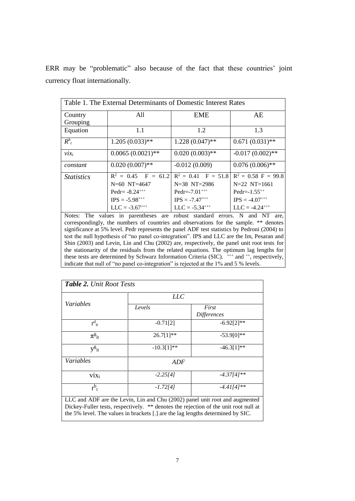|  | ERR may be "problematic" also because of the fact that these countries' joint |  |  |  |  |  |
|--|-------------------------------------------------------------------------------|--|--|--|--|--|
|  | currency float internationally.                                               |  |  |  |  |  |

| Table 1. The External Determinants of Domestic Interest Rates |                                                      |                              |                       |  |  |  |
|---------------------------------------------------------------|------------------------------------------------------|------------------------------|-----------------------|--|--|--|
| Country                                                       | All                                                  | EME                          | AE                    |  |  |  |
| Grouping                                                      |                                                      |                              |                       |  |  |  |
| Equation                                                      | 1.1                                                  | 1.2                          | 1.3                   |  |  |  |
| $R^b_{t}$                                                     | $1.205(0.033)$ **                                    | $1.228(0.047)$ **            | $0.671(0.031)$ **     |  |  |  |
| $\mathcal{V}$ <i>ix</i> <sub>t</sub>                          | $0.0065(0.0021)$ **                                  | $0.020(0.003)$ **            | $-0.017(0.002)$ **    |  |  |  |
| constant                                                      | $0.020(0.007)$ **                                    | $-0.012(0.009)$              | $0.076(0.006)$ **     |  |  |  |
| <i>Statistics</i>                                             | $R^2 = 0.45$ F = 61.2 R <sup>2</sup> = 0.41 F = 51.8 |                              | $R^2 = 0.58$ F = 99.8 |  |  |  |
|                                                               | $N=60$ NT=4647                                       | $N=38$ NT=2986               | $N=22$ $NT=1661$      |  |  |  |
|                                                               | Pedr= $-8.24***$                                     | Pedr= $-7.01$ <sup>+++</sup> | Pedr= $-1.55^{++}$    |  |  |  |
|                                                               | $IPS = -5.98^{+++}$                                  | $IPS = -7.47^{++}$           | $IPS = -4.07***$      |  |  |  |
|                                                               | $LLC = -3.67^{++}$                                   | $LLC = -5.34***$             | $LLC = -4.24^{+++}$   |  |  |  |

Notes: The values in parentheses are robust standard errors. N and NT are, correspondingly, the numbers of countries and observations for the sample. \*\* denotes significance at 5% level. Pedr represents the panel ADF test statistics by Pedroni (2004) to test the null hypothesis of "no panel co-integration". IPS and LLC are the Im, Pesaran and Shin (2003) and Levin, Lin and Chu (2002) are, respectively, the panel unit root tests for the stationarity of the residuals from the related equations. The optimum lag lengths for these tests are determined by Schwarz Information Criteria (SIC).  $^{+++}$  and  $^{++}$ , respectively, indicate that null of "no panel co-integration" is rejected at the 1% and 5 % levels.

|                                  | LLC          |                             |
|----------------------------------|--------------|-----------------------------|
| Variables                        | Levels       | First<br><b>Differences</b> |
| $r_{it}^d$                       | $-0.71[2]$   | $-6.92[2]**$                |
| $\pi_{\mathrm{it}}^{\mathrm{g}}$ | $26.7[1]**$  | $-53.9[0]**$                |
| $y_{i}^g$                        | $-10.3[1]**$ | $-46.3[1]**$                |
| Variables                        | <b>ADF</b>   |                             |
| $vix_t$                          | $-2.25[4]$   | $-4.37[4]$ **               |
| $r^{b}$ <sub>t</sub>             | $-1.72[4]$   | $-4.41[4]$ **               |

LLC and ADF are the Levin, Lin and Chu (2002) panel unit root and augmented Dickey-Fuller tests, respectively. \*\* denotes the rejection of the unit root null at the 5% level. The values in brackets [.] are the lag lengths determined by SIC.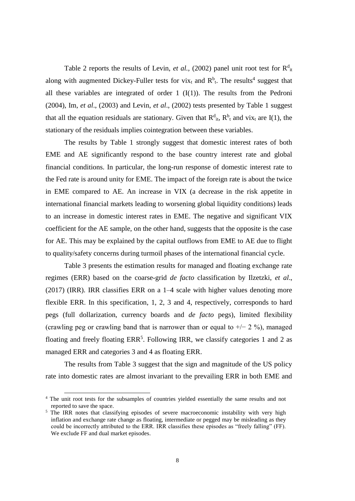Table 2 reports the results of Levin, *et al.*, (2002) panel unit root test for  $R_{it}^{d}$ along with augmented Dickey-Fuller tests for vix<sub>t</sub> and  $R<sup>b</sup>$ <sub>t</sub>. The results<sup>4</sup> suggest that all these variables are integrated of order  $1 \cdot (I(1))$ . The results from the Pedroni (2004), Im, *et al*., (2003) and Levin, *et al*., (2002) tests presented by Table 1 suggest that all the equation residuals are stationary. Given that  $R^d_{it}$ ,  $R^b_{it}$  and vix<sub>t</sub> are I(1), the stationary of the residuals implies cointegration between these variables.

The results by Table 1 strongly suggest that domestic interest rates of both EME and AE significantly respond to the base country interest rate and global financial conditions. In particular, the long-run response of domestic interest rate to the Fed rate is around unity for EME. The impact of the foreign rate is about the twice in EME compared to AE. An increase in VIX (a decrease in the risk appetite in international financial markets leading to worsening global liquidity conditions) leads to an increase in domestic interest rates in EME. The negative and significant VIX coefficient for the AE sample, on the other hand, suggests that the opposite is the case for AE. This may be explained by the capital outflows from EME to AE due to flight to quality/safety concerns during turmoil phases of the international financial cycle.

Table 3 presents the estimation results for managed and floating exchange rate regimes (ERR) based on the coarse-grid *de facto* classification by Ilzetzki, *et al*., (2017) (IRR). IRR classifies ERR on a 1–4 scale with higher values denoting more flexible ERR. In this specification, 1, 2, 3 and 4, respectively, corresponds to hard pegs (full dollarization, currency boards and *de facto* pegs), limited flexibility (crawling peg or crawling band that is narrower than or equal to  $+/- 2$ %), managed floating and freely floating  $ERR<sup>5</sup>$ . Following IRR, we classify categories 1 and 2 as managed ERR and categories 3 and 4 as floating ERR.

The results from Table 3 suggest that the sign and magnitude of the US policy rate into domestic rates are almost invariant to the prevailing ERR in both EME and

1

<sup>&</sup>lt;sup>4</sup> The unit root tests for the subsamples of countries yielded essentially the same results and not reported to save the space.

<sup>&</sup>lt;sup>5</sup> The IRR notes that classifying episodes of severe macroeconomic instability with very high inflation and exchange rate change as floating, intermediate or pegged may be misleading as they could be incorrectly attributed to the ERR. IRR classifies these episodes as "freely falling" (FF). We exclude FF and dual market episodes.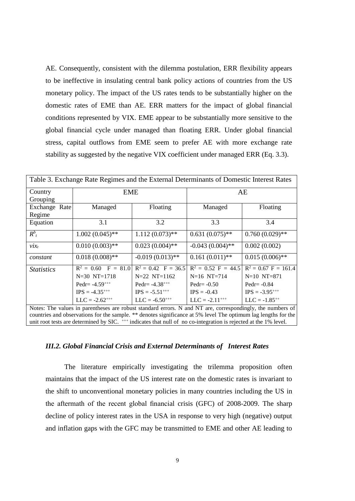AE. Consequently, consistent with the dilemma postulation, ERR flexibility appears to be ineffective in insulating central bank policy actions of countries from the US monetary policy. The impact of the US rates tends to be substantially higher on the domestic rates of EME than AE. ERR matters for the impact of global financial conditions represented by VIX. EME appear to be substantially more sensitive to the global financial cycle under managed than floating ERR. Under global financial stress, capital outflows from EME seem to prefer AE with more exchange rate stability as suggested by the negative VIX coefficient under managed ERR (Eq. 3.3).

| Table 3. Exchange Rate Regimes and the External Determinants of Domestic Interest Rates |                                                                                                            |                              |                       |                        |  |  |
|-----------------------------------------------------------------------------------------|------------------------------------------------------------------------------------------------------------|------------------------------|-----------------------|------------------------|--|--|
| Country                                                                                 | <b>EME</b>                                                                                                 |                              | AE                    |                        |  |  |
| Grouping                                                                                |                                                                                                            |                              |                       |                        |  |  |
| Exchange Rate                                                                           | Managed                                                                                                    | Floating                     | Managed               | Floating               |  |  |
| Regime                                                                                  |                                                                                                            |                              |                       |                        |  |  |
| Equation                                                                                | 3.1                                                                                                        | 3.2                          | 3.3                   | 3.4                    |  |  |
| $R^b_{t}$                                                                               | $1.002(0.045)$ **                                                                                          | $1.112(0.073)$ **            | $0.631(0.075)$ **     | $0.760(0.029)$ **      |  |  |
| $\mathcal{V}$ <i>i</i> $x_t$                                                            | $0.010(0.003)$ **                                                                                          | $0.023(0.004)$ **            | $-0.043(0.004)$ **    | 0.002(0.002)           |  |  |
| constant                                                                                | $0.018(0.008)$ **                                                                                          | $-0.019(0.013)$ **           | $0.161(0.011)$ **     | $0.015(0.006)$ **      |  |  |
| <b>Statistics</b>                                                                       | $R^2 = 0.60$ F = 81.0 R <sup>2</sup> = 0.42 F = 36.5                                                       |                              | $R^2 = 0.52$ F = 44.5 | $R^2 = 0.67$ F = 161.4 |  |  |
|                                                                                         | $N=30$ $NT=1718$                                                                                           | $N=22$ NT=1162               | $N=16$ NT=714         | $N=10$ NT=871          |  |  |
|                                                                                         | Pedr= $-4.59$ <sup>+++</sup>                                                                               | Pedr= $-4.38$ <sup>+++</sup> | Pedr= $-0.50$         | Pedr= $-0.84$          |  |  |
|                                                                                         | $IPS = -4.35^{+++}$                                                                                        | $IPS = -5.51^{++}$           | $IPS = -0.43$         | $IPS = -3.95^{+++}$    |  |  |
|                                                                                         | $LLC = -2.62^{++}$                                                                                         | $LLC = -6.50^{++}$           | $LLC = -2.11^{++}$    | $LLC = -1.85^{++}$     |  |  |
|                                                                                         | Notes: The values in parentheses are robust standard errors. N and NT are, correspondingly, the numbers of |                              |                       |                        |  |  |

countries and observations for the sample. \*\* denotes significance at 5% level The optimum lag lengths for the unit root tests are determined by SIC.  $^{++}$  indicates that null of no co-integration is rejected at the 1% level.

#### *III.2. Global Financial Crisis and External Determinants of Interest Rates*

The literature empirically investigating the trilemma proposition often maintains that the impact of the US interest rate on the domestic rates is invariant to the shift to unconventional monetary policies in many countries including the US in the aftermath of the recent global financial crisis (GFC) of 2008-2009. The sharp decline of policy interest rates in the USA in response to very high (negative) output and inflation gaps with the GFC may be transmitted to EME and other AE leading to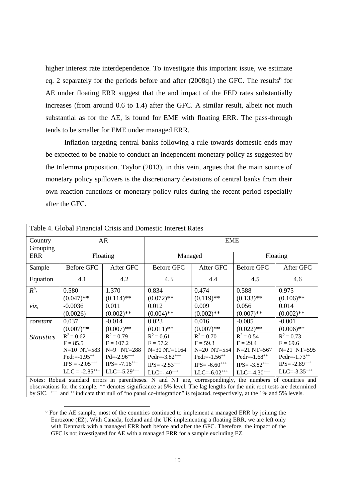higher interest rate interdependence. To investigate this important issue, we estimate eq. 2 separately for the periods before and after (2008q1) the GFC. The results<sup>6</sup> for AE under floating ERR suggest that the and impact of the FED rates substantially increases (from around 0.6 to 1.4) after the GFC. A similar result, albeit not much substantial as for the AE, is found for EME with floating ERR. The pass-through tends to be smaller for EME under managed ERR.

Inflation targeting central banks following a rule towards domestic ends may be expected to be enable to conduct an independent monetary policy as suggested by the trilemma proposition. Taylor (2013), in this vein, argues that the main source of monetary policy spillovers is the discretionary deviations of central banks from their own reaction functions or monetary policy rules during the recent period especially after the GFC.

| Table 4. Global Financial Crisis and Domestic Interest Rates |                     |                     |                                                                                                                                                                                                                                      |                     |                    |                     |  |  |
|--------------------------------------------------------------|---------------------|---------------------|--------------------------------------------------------------------------------------------------------------------------------------------------------------------------------------------------------------------------------------|---------------------|--------------------|---------------------|--|--|
| Country                                                      |                     | AE                  |                                                                                                                                                                                                                                      | <b>EME</b>          |                    |                     |  |  |
| Grouping                                                     |                     |                     |                                                                                                                                                                                                                                      |                     |                    |                     |  |  |
| <b>ERR</b>                                                   |                     | Floating            | Managed                                                                                                                                                                                                                              |                     |                    | Floating            |  |  |
| Sample                                                       | Before GFC          | After GFC           | <b>Before GFC</b>                                                                                                                                                                                                                    | After GFC           | <b>Before GFC</b>  | After GFC           |  |  |
| Equation                                                     | 4.1                 | 4.2                 | 4.3                                                                                                                                                                                                                                  | 4.4                 | 4.5                | 4.6                 |  |  |
| $R^b_{t}$                                                    | 0.580               | 1.370               | 0.834                                                                                                                                                                                                                                | 0.474               | 0.588              | 0.975               |  |  |
|                                                              | $(0.047)$ **        | $(0.114)$ **        | $(0.072)$ **                                                                                                                                                                                                                         | $(0.119)$ **        | $(0.133)$ **       | $(0.106)$ **        |  |  |
| $\mathcal{V}$ <i>i</i> $x_t$                                 | $-0.0036$           | 0.011               | 0.012                                                                                                                                                                                                                                | 0.009               | 0.056              | 0.014               |  |  |
|                                                              | (0.0026)            | $(0.002)$ **        | $(0.004)$ **                                                                                                                                                                                                                         | $(0.002)$ **        | $(0.007)$ **       | $(0.002)$ **        |  |  |
| constant                                                     | 0.037               | $-0.014$            | 0.023                                                                                                                                                                                                                                | 0.016               | $-0.085$           | $-0.001$            |  |  |
|                                                              | $(0.007)$ **        | $(0.007)$ **        | $(0.011)$ **                                                                                                                                                                                                                         | $(0.007)$ **        | $(0.022)$ **       | $(0.006)$ **        |  |  |
| <b>Statistics</b>                                            | $R^2 = 0.62$        | $R^2 = 0.79$        | $R^2 = 0.61$                                                                                                                                                                                                                         | $R^2 = 0.70$        | $R^2 = 0.54$       | $R^2 = 0.73$        |  |  |
|                                                              | $F = 85.5$          | $F = 107.2$         | $F = 57.2$                                                                                                                                                                                                                           | $F = 59.3$          | $F = 29.4$         | $F = 69.6$          |  |  |
|                                                              | $N=10$ NT=583       | $N=9$ $NT=288$      | $N=30 N T=1164$                                                                                                                                                                                                                      | $N=20$ NT=554       | $N=21 N T=567$     | $N=21$ NT=595       |  |  |
|                                                              | Pedr= $-1.95^{++}$  | $Pd = -2.96***$     | Pedr= $-3.82^{++}$                                                                                                                                                                                                                   | Pedr= $-1.56^{++}$  | Pedr= $-1.68^{++}$ | Pedr= $-1.73^{++}$  |  |  |
|                                                              | $IPS = -2.05^{+++}$ | $IPS = -7.16^{+++}$ | $IPS = -2.53***$                                                                                                                                                                                                                     | $IPS = -6.60^{+++}$ | $IPS = -3.82^{++}$ | $IPS = -2.89^{+++}$ |  |  |
|                                                              | $LLC = -2.85^{++}$  | $LLC = -5.29^{+++}$ | $LLC=-.40***$                                                                                                                                                                                                                        | $LLC = -6.02***$    | $LLC = -4.30^{++}$ | $LLC = -3.35***$    |  |  |
|                                                              |                     |                     | Notes: Robust standard errors in parentheses. N and NT are, correspondingly, the numbers of countries and<br>observations for the sample ** denotes significance at 5% level. The lag lengths for the unit root tests are determined |                     |                    |                     |  |  |

ions for the sample.  $**$  denotes significance at 5% level. The lag lengths for the unit root tests are determined the unit root tests are determined the sample. by SIC. <sup>+++</sup> and <sup>++</sup> indicate that null of "no panel co-integration" is rejected, respectively, at the 1% and 5% levels.

<sup>&</sup>lt;sup>6</sup> For the AE sample, most of the countries continued to implement a managed ERR by joining the Eurozone (EZ). With Canada, Iceland and the UK implementing a floating ERR, we are left only with Denmark with a managed ERR both before and after the GFC. Therefore, the impact of the GFC is not investigated for AE with a managed ERR for a sample excluding EZ.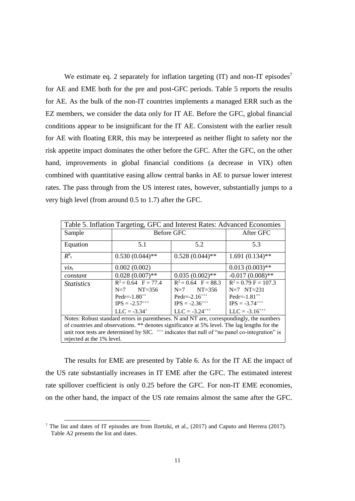We estimate eq. 2 separately for inflation targeting  $(IT)$  and non-IT episodes<sup>7</sup> for AE and EME both for the pre and post-GFC periods. Table 5 reports the results for AE. As the bulk of the non-IT countries implements a managed ERR such as the EZ members, we consider the data only for IT AE. Before the GFC, global financial conditions appear to be insignificant for the IT AE. Consistent with the earlier result for AE with floating ERR, this may be interpreted as neither flight to safety nor the risk appetite impact dominates the other before the GFC. After the GFC, on the other hand, improvements in global financial conditions (a decrease in VIX) often combined with quantitative easing allow central banks in AE to pursue lower interest rates. The pass through from the US interest rates, however, substantially jumps to a very high level (from around 0.5 to 1.7) after the GFC.

| Table 5. Inflation Targeting, GFC and Interest Rates: Advanced Economies                    |                                                                                                           |                       |                        |  |  |  |  |  |
|---------------------------------------------------------------------------------------------|-----------------------------------------------------------------------------------------------------------|-----------------------|------------------------|--|--|--|--|--|
| Sample                                                                                      | <b>Before GFC</b>                                                                                         |                       | After GFC              |  |  |  |  |  |
| Equation                                                                                    | 5.1                                                                                                       | 5.2                   | 5.3                    |  |  |  |  |  |
| $\overline{R^b}_t$                                                                          | $0.530(0.044)$ **                                                                                         | $0.528(0.044)$ **     | $1.691(0.134)$ **      |  |  |  |  |  |
| $\mathcal{V}$ <i>ix</i> <sub>t</sub>                                                        | 0.002(0.002)                                                                                              |                       | $0.013(0.003)$ **      |  |  |  |  |  |
| constant                                                                                    | $0.028(0.007)$ **                                                                                         | $0.035(0.002)$ **     | $-0.017(0.008)$ **     |  |  |  |  |  |
| <b>Statistics</b>                                                                           | $R^2 = 0.64$ F = 77.4                                                                                     | $R^2 = 0.64$ F = 88.3 | $R^2 = 0.79$ F = 107.3 |  |  |  |  |  |
|                                                                                             | $NT = 356$<br>$N=7$                                                                                       | $NT = 356$<br>$N=7$   | $N=7$ NT=231           |  |  |  |  |  |
|                                                                                             | $Pedr=1.80^{++}$                                                                                          | Pedr= $-2.16^{++}$    | Pedr= $-1.81^{++}$     |  |  |  |  |  |
|                                                                                             | $IPS = -2.57^{++}$                                                                                        | $IPS = -2.36^{+++}$   | $IPS = -3.74^{+++}$    |  |  |  |  |  |
|                                                                                             | $LLC = -3.24^{+++}$<br>$LLC = -3.34$ <sup>+</sup><br>$LLC = -3.16^{++}$                                   |                       |                        |  |  |  |  |  |
| Notes: Robust standard errors in parentheses. N and NT are, correspondingly, the numbers    |                                                                                                           |                       |                        |  |  |  |  |  |
| of countries and observations. ** denotes significance at 5% level. The lag lengths for the |                                                                                                           |                       |                        |  |  |  |  |  |
|                                                                                             | unit root tests are determined by SIC. <sup>+++</sup> indicates that null of "no panel co-integration" is |                       |                        |  |  |  |  |  |
| rejected at the 1% level.                                                                   |                                                                                                           |                       |                        |  |  |  |  |  |

The results for EME are presented by Table 6. As for the IT AE the impact of the US rate substantially increases in IT EME after the GFC. The estimated interest rate spillover coefficient is only 0.25 before the GFC. For non-IT EME economies, on the other hand, the impact of the US rate remains almost the same after the GFC.

<sup>&</sup>lt;sup>7</sup> The list and dates of IT episodes are from Ilzetzki, et al.,  $(2017)$  and Caputo and Herrera  $(2017)$ . Table A2 presents the list and dates.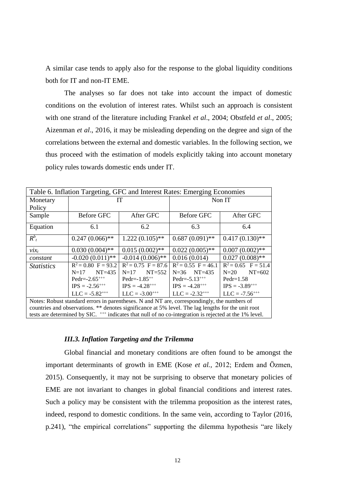A similar case tends to apply also for the response to the global liquidity conditions both for IT and non-IT EME.

The analyses so far does not take into account the impact of domestic conditions on the evolution of interest rates. Whilst such an approach is consistent with one strand of the literature including Frankel *et al*., 2004; Obstfeld *et al*., 2005; Aizenman *et al*., 2016, it may be misleading depending on the degree and sign of the correlations between the external and domestic variables. In the following section, we thus proceed with the estimation of models explicitly taking into account monetary policy rules towards domestic ends under IT.

| Table 6. Inflation Targeting, GFC and Interest Rates: Emerging Economies |                                                                                                                   |                       |                       |                       |  |  |  |
|--------------------------------------------------------------------------|-------------------------------------------------------------------------------------------------------------------|-----------------------|-----------------------|-----------------------|--|--|--|
| Monetary                                                                 |                                                                                                                   | ľГ                    | Non IT                |                       |  |  |  |
| Policy                                                                   |                                                                                                                   |                       |                       |                       |  |  |  |
| Sample                                                                   | <b>Before GFC</b>                                                                                                 | After GFC             | <b>Before GFC</b>     | After GFC             |  |  |  |
| Equation                                                                 | 6.1                                                                                                               | 6.2                   | 6.3                   | 6.4                   |  |  |  |
| $R^b_{t}$                                                                | $0.247(0.066)$ **                                                                                                 | $1.222(0.105)$ **     | $0.687(0.091)$ **     | $0.417(0.130)$ **     |  |  |  |
| $\mathcal{V} \mathcal{X}$                                                | $0.030(0.004)$ **                                                                                                 | $0.015(0.002)$ **     | $0.022(0.005)$ **     | $0.007(0.002)$ **     |  |  |  |
| constant                                                                 | $-0.020(0.011)$ **                                                                                                | $-0.014(0.006)$ **    | 0.016(0.014)          | $0.027(0.008)$ **     |  |  |  |
| <i>Statistics</i>                                                        | $R^2 = 0.80$ F = 93.2                                                                                             | $R^2 = 0.75$ F = 87.6 | $R^2 = 0.55$ F = 46.1 | $R^2 = 0.65$ F = 51.4 |  |  |  |
|                                                                          | $NT=435$<br>$N=17$                                                                                                | $NT=552$<br>$N=17$    | $N=36$ $N$ T $=435$   | $NT=602$<br>$N=20$    |  |  |  |
|                                                                          | Pedr= $-2.65***$                                                                                                  | Pedr= $-1.85^{++}$    | Pedr= $-5.13^{+++}$   | $Pedr=1.58$           |  |  |  |
|                                                                          | $IPS = -2.56^{++}$<br>$IPS = -4.28^{++}$                                                                          |                       | $IPS = -4.28^{+++}$   | $IPS = -3.89^{+++}$   |  |  |  |
| $LLC = -5.82^{++}$<br>$LLC = -3.00^{++}$                                 |                                                                                                                   |                       | $LLC = -2.32^{++}$    | $LLC = -7.56^{++}$    |  |  |  |
|                                                                          | Notes: Robust standard errors in parentheses. N and NT are, correspondingly, the numbers of                       |                       |                       |                       |  |  |  |
|                                                                          | countries and observations. ** denotes significance at 5% level. The lag lengths for the unit root                |                       |                       |                       |  |  |  |
|                                                                          | tests are determined by SIC. <sup>+++</sup> indicates that null of no co-integration is rejected at the 1% level. |                       |                       |                       |  |  |  |

#### *III.3. Inflation Targeting and the Trilemma*

Global financial and monetary conditions are often found to be amongst the important determinants of growth in EME (Kose *et al.,* 2012; Erdem and Özmen, 2015). Consequently, it may not be surprising to observe that monetary policies of EME are not invariant to changes in global financial conditions and interest rates. Such a policy may be consistent with the trilemma proposition as the interest rates, indeed, respond to domestic conditions. In the same vein, according to Taylor (2016, p.241), "the empirical correlations" supporting the dilemma hypothesis "are likely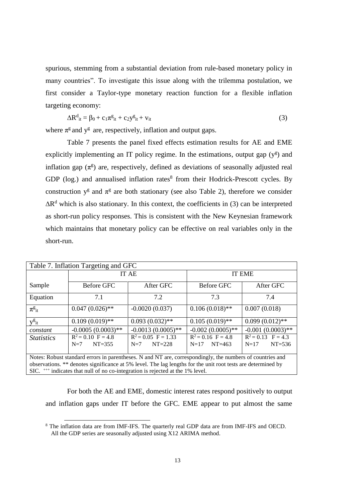spurious, stemming from a substantial deviation from rule-based monetary policy in many countries". To investigate this issue along with the trilemma postulation, we first consider a Taylor-type monetary reaction function for a flexible inflation targeting economy:

$$
\Delta R^d_{it} = \beta_0 + c_1 \pi^g_{it} + c_2 y^g_{it} + v_{it}
$$
 (3)

where  $\pi^g$  and  $y^g$  are, respectively, inflation and output gaps.

Table 7 presents the panel fixed effects estimation results for AE and EME explicitly implementing an IT policy regime. In the estimations, output gap  $(y^g)$  and inflation gap  $(\pi^g)$  are, respectively, defined as deviations of seasonally adjusted real GDP (log.) and annualised inflation rates<sup>8</sup> from their Hodrick-Prescott cycles. By construction  $y^g$  and  $\pi^g$  are both stationary (see also Table 2), therefore we consider  $\Delta R^d$  which is also stationary. In this context, the coefficients in (3) can be interpreted as short-run policy responses. This is consistent with the New Keynesian framework which maintains that monetary policy can be effective on real variables only in the short-run.

| Table 7. Inflation Targeting and GFC                                                                      |                                                                                                              |                                         |                                         |                                                       |  |  |  |
|-----------------------------------------------------------------------------------------------------------|--------------------------------------------------------------------------------------------------------------|-----------------------------------------|-----------------------------------------|-------------------------------------------------------|--|--|--|
|                                                                                                           | <b>IT AE</b>                                                                                                 |                                         | <b>IT EME</b>                           |                                                       |  |  |  |
| Sample                                                                                                    | Before GFC                                                                                                   | After GFC                               | <b>Before GFC</b>                       | After GFC                                             |  |  |  |
| Equation                                                                                                  | 7.1                                                                                                          | 7.2                                     | 7.3                                     | 7.4                                                   |  |  |  |
| $\pi_{\mathrm{it}}^{\mathrm{g}}$                                                                          | $0.047(0.026)$ **                                                                                            | $-0.0020(0.037)$                        | $0.106(0.018)$ **                       | 0.007(0.018)                                          |  |  |  |
| $y^g$ <sub>it</sub>                                                                                       | $0.109(0.019)$ **                                                                                            | $0.093(0.032)$ **                       | $0.105(0.019)$ **                       | $0.099(0.012)$ **                                     |  |  |  |
| constant                                                                                                  | $-0.0005(0.0003)$ **                                                                                         | $-0.0013(0.0005)$ **                    | $-0.002(0.0005)$ **                     | $-0.001(0.0003)$ **                                   |  |  |  |
| <b>Statistics</b>                                                                                         | $R^2 = 0.10$ F = 4.8<br>$NT = 355$<br>$N=7$                                                                  | $R^2 = 0.05$ F = 1.33<br>$N=7$ $NT=228$ | $R^2 = 0.16$ F = 4.8<br>$N=17$ $NT=463$ | $\overline{R^2} = 0.13$ F = 4.3<br>$NT=536$<br>$N=17$ |  |  |  |
| Notes: Robust standard errors in parentheses. N and NT are, correspondingly, the numbers of countries and |                                                                                                              |                                         |                                         |                                                       |  |  |  |
|                                                                                                           | observations. ** denotes significance at 5% level. The lag lengths for the unit root tests are determined by |                                         |                                         |                                                       |  |  |  |
|                                                                                                           | SIC. $^{++}$ indicates that null of no co-integration is rejected at the 1% level.                           |                                         |                                         |                                                       |  |  |  |

For both the AE and EME, domestic interest rates respond positively to output and inflation gaps under IT before the GFC. EME appear to put almost the same

<sup>8</sup> The inflation data are from IMF-IFS. The quarterly real GDP data are from IMF-IFS and OECD. All the GDP series are seasonally adjusted using X12 ARIMA method.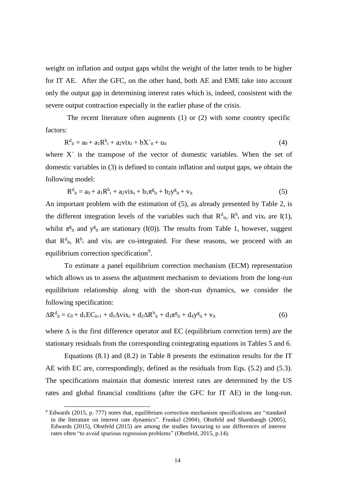weight on inflation and output gaps whilst the weight of the latter tends to be higher for IT AE. After the GFC, on the other hand, both AE and EME take into account only the output gap in determining interest rates which is, indeed, consistent with the severe output contraction especially in the earlier phase of the crisis.

The recent literature often augments (1) or (2) with some country specific factors:

$$
R^{d}_{it} = a_0 + a_1 R^{b}_{t} + a_2 v i x_t + b X'_{it} + u_{it}
$$
 (4)

where  $X'$  is the transpose of the vector of domestic variables. When the set of domestic variables in (3) is defined to contain inflation and output gaps, we obtain the following model:

$$
R^{d}_{it} = a_0 + a_1 R^{b}_{t} + a_2 v i x_t + b_1 \pi^{g}_{it} + b_2 y^{g}_{it} + v_{it}
$$
(5)

An important problem with the estimation of (5), as already presented by Table 2, is the different integration levels of the variables such that  $R^d_{it}$ ,  $R^b_{it}$  and vix<sub>t</sub> are I(1), whilst  $\pi^g$ <sub>it</sub> and  $y^g$ <sub>it</sub> are stationary (I(0)). The results from Table 1, however, suggest that  $R^d_{it}$ ,  $R^b_{it}$  and vix<sub>t</sub> are co-integrated. For these reasons, we proceed with an equilibrium correction specification<sup>9</sup>.

To estimate a panel equilibrium correction mechanism (ECM) representation which allows us to assess the adjustment mechanism to deviations from the long-run equilibrium relationship along with the short-run dynamics, we consider the following specification:

$$
\Delta R^{d}_{it} = c_0 + d_1 E C_{it-1} + d_1 \Delta v i x_t + d_2 \Delta R^{b}_{it} + d_3 \pi^{g}_{it} + d_4 y^{g}_{it} + v_{it}
$$
(6)

where ∆ is the first difference operator and EC (equilibrium correction term) are the stationary residuals from the corresponding cointegrating equations in Tables 5 and 6.

Equations (8.1) and (8.2) in Table 8 presents the estimation results for the IT AE with EC are, correspondingly, defined as the residuals from Eqs. (5.2) and (5.3). The specifications maintain that domestic interest rates are determined by the US rates and global financial conditions (after the GFC for IT AE) in the long-run.

<sup>&</sup>lt;sup>9</sup> Edwards (2015, p. 777) notes that, equilibrium correction mechanism specifications are "standard in the literature on interest rate dynamics". Frankel (2004), Obstfeld and Shambaugh (2005), Edwards (2015), Obstfeld (2015) are among the studies favouring to use differences of interest rates often "to avoid spurious regression problems" (Obstfeld, 2015, p.14).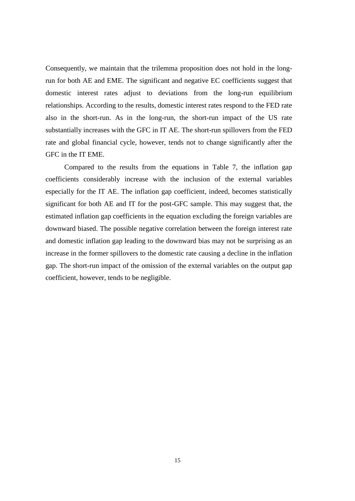Consequently, we maintain that the trilemma proposition does not hold in the longrun for both AE and EME. The significant and negative EC coefficients suggest that domestic interest rates adjust to deviations from the long-run equilibrium relationships. According to the results, domestic interest rates respond to the FED rate also in the short-run. As in the long-run, the short-run impact of the US rate substantially increases with the GFC in IT AE. The short-run spillovers from the FED rate and global financial cycle, however, tends not to change significantly after the GFC in the IT EME.

Compared to the results from the equations in Table 7, the inflation gap coefficients considerably increase with the inclusion of the external variables especially for the IT AE. The inflation gap coefficient, indeed, becomes statistically significant for both AE and IT for the post-GFC sample. This may suggest that, the estimated inflation gap coefficients in the equation excluding the foreign variables are downward biased. The possible negative correlation between the foreign interest rate and domestic inflation gap leading to the downward bias may not be surprising as an increase in the former spillovers to the domestic rate causing a decline in the inflation gap. The short-run impact of the omission of the external variables on the output gap coefficient, however, tends to be negligible.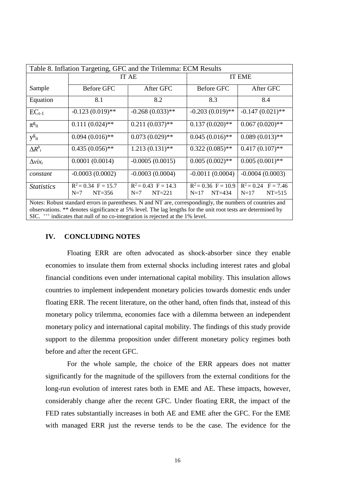|                           | Table 8. Inflation Targeting, GFC and the Trilemma: ECM Results |                                                                                                           |                                               |                                             |  |  |  |  |
|---------------------------|-----------------------------------------------------------------|-----------------------------------------------------------------------------------------------------------|-----------------------------------------------|---------------------------------------------|--|--|--|--|
|                           | IT AE                                                           |                                                                                                           | <b>IT EME</b>                                 |                                             |  |  |  |  |
| Sample                    | Before GFC                                                      | After GFC                                                                                                 | Before GFC                                    | After GFC                                   |  |  |  |  |
| Equation                  | 8.1                                                             | 8.2                                                                                                       | 8.3                                           | 8.4                                         |  |  |  |  |
| $EC_{t-1}$                | $-0.123(0.019)$ **                                              | $-0.268(0.033)$ **                                                                                        | $-0.203(0.019)$ **                            | $-0.147(0.021)$ **                          |  |  |  |  |
| $\pi_{\rm it}^{\rm g}$    | $0.111(0.024)$ **                                               | $0.211(0.037)$ **                                                                                         | $0.137(0.020)$ **                             | $0.067(0.020)$ **                           |  |  |  |  |
| $y_{it}^g$                | $0.094(0.016)$ **                                               | $0.073(0.029)$ **                                                                                         | $0.045(0.016)$ **                             | $0.089(0.013)$ **                           |  |  |  |  |
| $\Delta R^b$              | $0.435(0.056)$ **                                               | $1.213(0.131)$ **                                                                                         | $0.322(0.085)$ **                             | $0.417(0.107)$ **                           |  |  |  |  |
| $\Delta$ vix <sub>t</sub> | 0.0001(0.0014)                                                  | $-0.0005(0.0015)$                                                                                         | $0.005(0.002)$ **                             | $0.005(0.001)$ **                           |  |  |  |  |
| constant                  | $-0.0003(0.0002)$                                               | $-0.0003(0.0004)$                                                                                         | $-0.0011(0.0004)$                             | $-0.0004(0.0003)$                           |  |  |  |  |
| <i>Statistics</i>         | $R^2 = 0.34$ F = 15.7<br>$NT = 356$<br>$N=7$                    | $R^2 = 0.43$ F = 14.3<br>$NT = 221$<br>$N=7$                                                              | $R^2 = 0.36$ F = 10.9<br>$NT = 434$<br>$N=17$ | $R^2 = 0.24$ F = 7.46<br>$NT=515$<br>$N=17$ |  |  |  |  |
|                           |                                                                 | Notes: Robust standard errors in parentheses. N and NT are, correspondingly, the numbers of countries and |                                               |                                             |  |  |  |  |

observations. \*\* denotes significance at 5% level. The lag lengths for the unit root tests are determined by SIC. <sup>+++</sup> indicates that null of no co-integration is rejected at the 1% level.

#### **IV. CONCLUDING NOTES**

Floating ERR are often advocated as shock-absorber since they enable economies to insulate them from external shocks including interest rates and global financial conditions even under international capital mobility. This insulation allows countries to implement independent monetary policies towards domestic ends under floating ERR. The recent literature, on the other hand, often finds that, instead of this monetary policy trilemma, economies face with a dilemma between an independent monetary policy and international capital mobility. The findings of this study provide support to the dilemma proposition under different monetary policy regimes both before and after the recent GFC.

For the whole sample, the choice of the ERR appears does not matter significantly for the magnitude of the spillovers from the external conditions for the long-run evolution of interest rates both in EME and AE. These impacts, however, considerably change after the recent GFC. Under floating ERR, the impact of the FED rates substantially increases in both AE and EME after the GFC. For the EME with managed ERR just the reverse tends to be the case. The evidence for the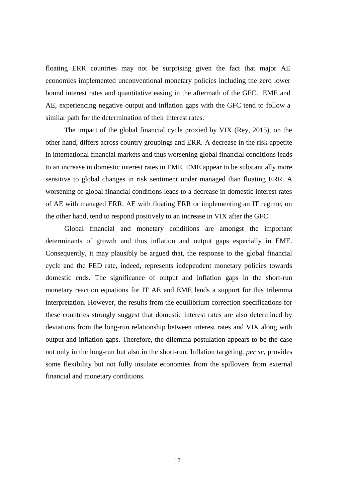floating ERR countries may not be surprising given the fact that major AE economies implemented unconventional monetary policies including the zero lower bound interest rates and quantitative easing in the aftermath of the GFC. EME and AE, experiencing negative output and inflation gaps with the GFC tend to follow a similar path for the determination of their interest rates.

The impact of the global financial cycle proxied by VIX (Rey, 2015), on the other hand, differs across country groupings and ERR. A decrease in the risk appetite in international financial markets and thus worsening global financial conditions leads to an increase in domestic interest rates in EME. EME appear to be substantially more sensitive to global changes in risk sentiment under managed than floating ERR. A worsening of global financial conditions leads to a decrease in domestic interest rates of AE with managed ERR. AE with floating ERR or implementing an IT regime, on the other hand, tend to respond positively to an increase in VIX after the GFC.

Global financial and monetary conditions are amongst the important determinants of growth and thus inflation and output gaps especially in EME. Consequently, it may plausibly be argued that, the response to the global financial cycle and the FED rate, indeed, represents independent monetary policies towards domestic ends. The significance of output and inflation gaps in the short-run monetary reaction equations for IT AE and EME lends a support for this trilemma interpretation. However, the results from the equilibrium correction specifications for these countries strongly suggest that domestic interest rates are also determined by deviations from the long-run relationship between interest rates and VIX along with output and inflation gaps. Therefore, the dilemma postulation appears to be the case not only in the long-run but also in the short-run. Inflation targeting, *per se*, provides some flexibility but not fully insulate economies from the spillovers from external financial and monetary conditions.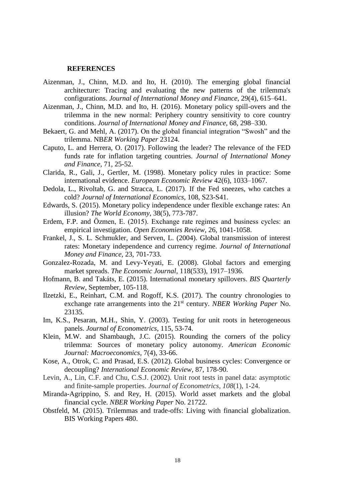#### **REFERENCES**

- Aizenman, J., Chinn, M.D. and Ito, H. (2010). [The emerging global financial](http://web.pdx.edu/~ito/Aizenman_Chinn_Ito_hi_Oct7_2009.pdf)  [architecture: Tracing and evaluating the new patterns of the trilemma's](http://web.pdx.edu/~ito/Aizenman_Chinn_Ito_hi_Oct7_2009.pdf)  [configurations.](http://web.pdx.edu/~ito/Aizenman_Chinn_Ito_hi_Oct7_2009.pdf) *Journal of International Money and Finance*, 29(4), 615–641.
- Aizenman, J., Chinn, M.D. and Ito, H. (2016). Monetary policy spill-overs and the trilemma in the new normal: Periphery country sensitivity to core country conditions. *Journal of International Money and Finance*, 68, 298–330.
- Bekaert, G. and Mehl, A. (2017). On the global financial integration "Swosh" and the trilemma. NB*ER Working Paper* 23124.
- Caputo, L. and Herrera, O. (2017). Following the leader? The relevance of the FED funds rate for inflation targeting countries. *Journal of International Money and Finance*, 71, 25-52.
- Clarida, R., Gali, J., Gertler, M. (1998). Monetary policy rules in practice: Some international evidence. *European Economic Review* 42(6), 1033–1067.
- Dedola, L., Rivoltab, G. and Stracca, L. (2017). If the Fed sneezes, who catches a cold? *Journal of International Economics*, 108, S23-S41.
- Edwards, S. (2015). Monetary policy independence under flexible exchange rates: An illusion? *The World Economy*, 38(5), 773-787.
- Erdem, F.P. and Özmen, E. (2015). Exchange rate regimes and business cycles: an empirical investigation. *Open Economies Review*, 26, 1041-1058.
- Frankel, J., S. L. Schmukler, and Serven, L. (2004). Global transmission of interest rates: Monetary independence and currency regime. *Journal of International Money and Finance*, 23, 701-733.
- Gonzalez-Rozada, M. and Levy-Yeyati, E. (2008). Global factors and emerging market spreads. *The Economic Journal*, 118(533), 1917–1936.
- Hofmann, B. and Takáts, E. (2015). International monetary spillovers. *BIS Quarterly Review*, September, 105-118.
- Ilzetzki, E., Reinhart, C.M. and Rogoff, K.S. (2017). The country chronologies to exchange rate arrangements into the 21<sup>st</sup> century. *NBER Working Paper* No. 23135.
- Im, K.S., Pesaran, M.H., Shin, Y. (2003). Testing for unit roots in heterogeneous panels. *Journal of Econometrics*, 115, 53-74.
- Klein, M.W. and Shambaugh, J.C. (2015). Rounding the corners of the policy trilemma: Sources of monetary policy autonomy. *[American Economic](http://www.ingentaconnect.com/content/aea/aejma;jsessionid=bt51ejlpri9q.x-ic-live-03)  [Journal: Macroeconomics](http://www.ingentaconnect.com/content/aea/aejma;jsessionid=bt51ejlpri9q.x-ic-live-03)*, 7(4), 33-66.
- Kose, A., Otrok, C. and Prasad, E.S. (2012). Global business cycles: Convergence or decoupling? *International Economic Review*, 87, 178-90.
- Levin, A., Lin, C.F. and Chu, C.S.J. (2002). Unit root tests in panel data: asymptotic and finite-sample properties. *Journal of Econometrics*, *108*(1), 1-24.
- Miranda-Agrippino, S. and Rey, H. (2015). World asset markets and the global financial cycle. *NBER Working Paper* No. 21722.
- Obstfeld, M. (2015). [Trilemmas and trade-offs: Living with financial globalization.](http://www.bis.org/publ/work480.htm) BIS Working Papers 480.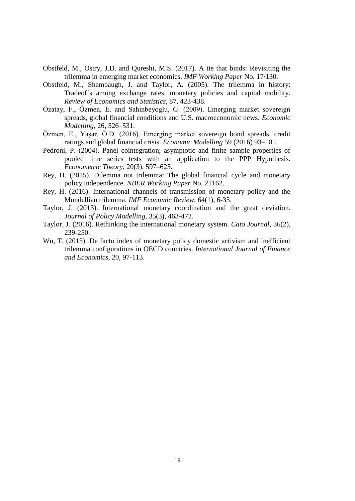- Obstfeld, M., Ostry, J.D. and Qureshi, M.S. (2017). A tie that binds: Revisiting the trilemma in emerging market economies. *IMF Working Paper* No. 17/130.
- Obstfeld, M., Shambaugh, J. and Taylor, A. (2005). The trilemma in history: Tradeoffs among exchange rates, monetary policies and capital mobility. *Review of Economics and Statistics*, 87, 423-438.
- Özatay, F., Özmen, E. and Sahinbeyoglu, G. (2009). Emerging market sovereign spreads, global financial conditions and U.S. macroeconomic news. *Economic Modelling*, 26, 526–531.
- Özmen, E., Yaşar, Ö.D. (2016). Emerging market sovereign bond spreads, credit ratings and global financial crisis. *Economic Modelling* 59 (2016) 93–101.
- Pedroni, P. (2004). Panel cointegration; asymptotic and finite sample properties of pooled time series tests with an application to the PPP Hypothesis. *Econometric Theory*, 20(3), 597–625.
- Rey, H. (2015). Dilemma not trilemma: The global financial cycle and monetary policy independence. *NBER Working Paper* No. 21162.
- Rey, H. (2016). International channels of transmission of monetary policy and the Mundellian trilemma. *[IMF Economic Review,](http://link.springer.com/journal/41308)* 64(1), 6-35.
- Taylor, J. (2013). International monetary coordination and the great deviation. *Journal of Policy Modelling*, 35(3), 463-472.
- Taylor, J. (2016). Rethinking the international monetary system. *Cato Journal*, 36(2), 239-250.
- Wu, T. (2015). De facto index of monetary policy domestic activism and inefficient trilemma configurations in OECD countries. *International Journal of Finance and Economics*, 20, 97-113.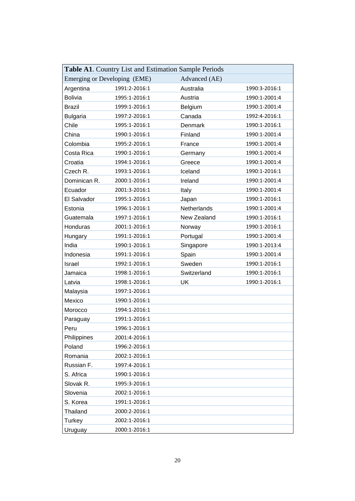| Table A1. Country List and Estimation Sample Periods |               |               |               |  |  |  |
|------------------------------------------------------|---------------|---------------|---------------|--|--|--|
| Emerging or Developing (EME)                         |               | Advanced (AE) |               |  |  |  |
| Argentina                                            | 1991:2-2016:1 | Australia     | 1990:3-2016:1 |  |  |  |
| <b>Bolivia</b>                                       | 1995:1-2016:1 | Austria       | 1990:1-2001:4 |  |  |  |
| <b>Brazil</b>                                        | 1999:1-2016:1 | Belgium       | 1990:1-2001:4 |  |  |  |
| <b>Bulgaria</b>                                      | 1997:2-2016:1 | Canada        | 1992:4-2016:1 |  |  |  |
| Chile                                                | 1995:1-2016:1 | Denmark       | 1990:1-2016:1 |  |  |  |
| China                                                | 1990:1-2016:1 | Finland       | 1990:1-2001:4 |  |  |  |
| Colombia                                             | 1995:2-2016:1 | France        | 1990:1-2001:4 |  |  |  |
| Costa Rica                                           | 1990:1-2016:1 | Germany       | 1990:1-2001:4 |  |  |  |
| Croatia                                              | 1994:1-2016:1 | Greece        | 1990:1-2001:4 |  |  |  |
| Czech R.                                             | 1993:1-2016:1 | Iceland       | 1990:1-2016:1 |  |  |  |
| Dominican R.                                         | 2000:1-2016:1 | Ireland       | 1990:1-2001:4 |  |  |  |
| Ecuador                                              | 2001:3-2016:1 | Italy         | 1990:1-2001:4 |  |  |  |
| El Salvador                                          | 1995:1-2016:1 | Japan         | 1990:1-2016:1 |  |  |  |
| Estonia                                              | 1996:1-2016:1 | Netherlands   | 1990:1-2001:4 |  |  |  |
| Guatemala                                            | 1997:1-2016:1 | New Zealand   | 1990:1-2016:1 |  |  |  |
| Honduras                                             | 2001:1-2016:1 | Norway        | 1990:1-2016:1 |  |  |  |
| Hungary                                              | 1991:1-2016:1 | Portugal      | 1990:1-2001:4 |  |  |  |
| India                                                | 1990:1-2016:1 | Singapore     | 1990:1-2013:4 |  |  |  |
| Indonesia                                            | 1991:1-2016:1 | Spain         | 1990:1-2001:4 |  |  |  |
| Israel                                               | 1992:1-2016:1 | Sweden        | 1990:1-2016:1 |  |  |  |
| Jamaica                                              | 1998:1-2016:1 | Switzerland   | 1990:1-2016:1 |  |  |  |
| Latvia                                               | 1998:1-2016:1 | UK            | 1990:1-2016:1 |  |  |  |
| Malaysia                                             | 1997:1-2016:1 |               |               |  |  |  |
| Mexico                                               | 1990:1-2016:1 |               |               |  |  |  |
| Morocco                                              | 1994:1-2016:1 |               |               |  |  |  |
| Paraguay                                             | 1991:1-2016:1 |               |               |  |  |  |
| Peru                                                 | 1996:1-2016:1 |               |               |  |  |  |
| Philippines                                          | 2001:4-2016:1 |               |               |  |  |  |
| Poland                                               | 1996:2-2016:1 |               |               |  |  |  |
| Romania                                              | 2002:1-2016:1 |               |               |  |  |  |
| Russian F.                                           | 1997:4-2016:1 |               |               |  |  |  |
| S. Africa                                            | 1990:1-2016:1 |               |               |  |  |  |
| Slovak R.                                            | 1995:3-2016:1 |               |               |  |  |  |
| Slovenia                                             | 2002:1-2016:1 |               |               |  |  |  |
| S. Korea                                             | 1991:1-2016:1 |               |               |  |  |  |
| Thailand                                             | 2000:2-2016:1 |               |               |  |  |  |
| Turkey                                               | 2002:1-2016:1 |               |               |  |  |  |
| Uruguay                                              | 2000:1-2016:1 |               |               |  |  |  |